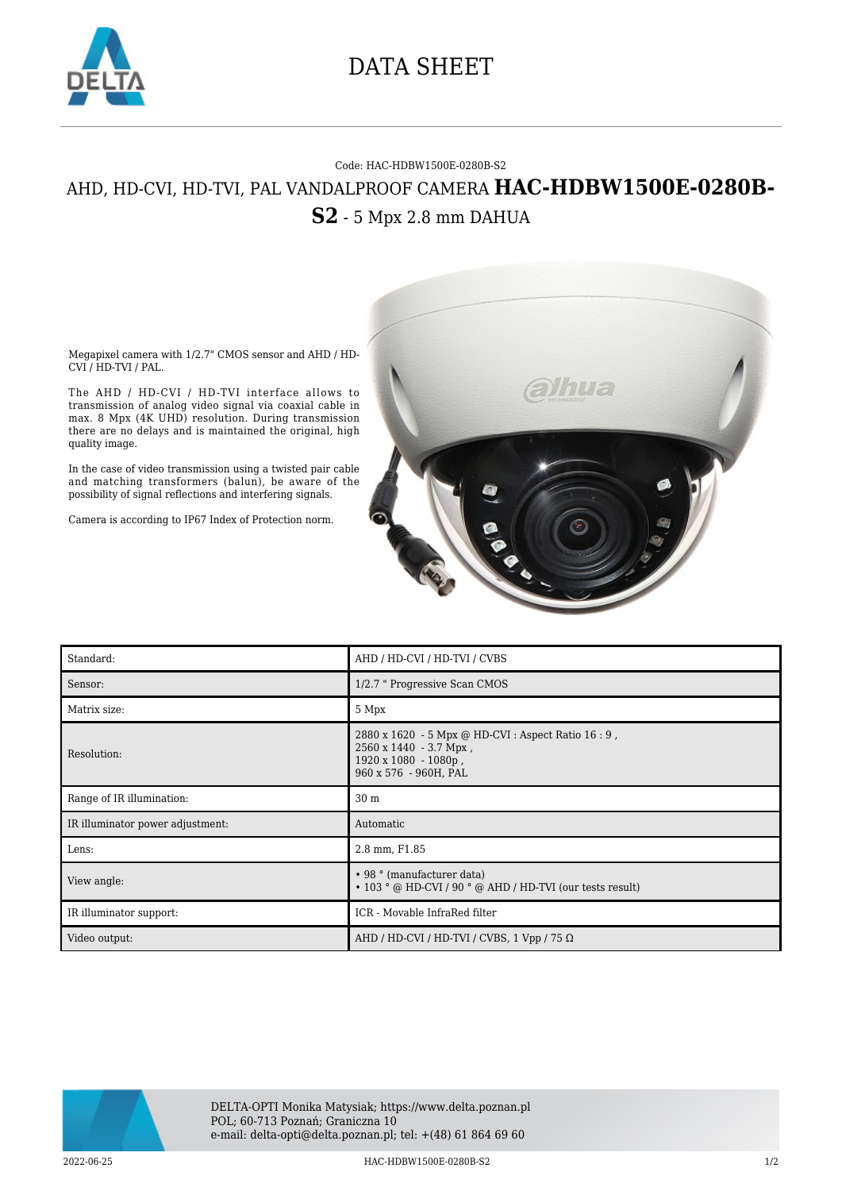

## DATA SHEET

## Code: HAC-HDBW1500E-0280B-S2 AHD, HD-CVI, HD-TVI, PAL VANDALPROOF CAMERA **HAC-HDBW1500E-0280B-S2** - 5 Mpx 2.8 mm DAHUA



Megapixel camera with 1/2.7" CMOS sensor and AHD / HD-CVI / HD-TVI / PAL.

The AHD / HD-CVI / HD-TVI interface allows to transmission of analog video signal via coaxial cable in max. 8 Mpx (4K UHD) resolution. During transmission there are no delays and is maintained the original, high quality image.

In the case of video transmission using a twisted pair cable and matching transformers (balun), be aware of the possibility of signal reflections and interfering signals.

Camera is according to IP67 Index of Protection norm.

| Standard:                        | AHD / HD-CVI / HD-TVI / CVBS                                                                                                          |
|----------------------------------|---------------------------------------------------------------------------------------------------------------------------------------|
| Sensor:                          | 1/2.7 " Progressive Scan CMOS                                                                                                         |
| Matrix size:                     | 5 Mpx                                                                                                                                 |
| Resolution:                      | 2880 x 1620 - 5 Mpx @ HD-CVI : Aspect Ratio 16 : 9,<br>$2560 \times 1440 - 3.7$ Mpx,<br>1920 x 1080 - 1080p,<br>960 x 576 - 960H, PAL |
| Range of IR illumination:        | 30 <sub>m</sub>                                                                                                                       |
| IR illuminator power adjustment: | Automatic                                                                                                                             |
| Lens:                            | 2.8 mm, F1.85                                                                                                                         |
| View angle:                      | • 98 ° (manufacturer data)<br>• 103 ° @ HD-CVI / 90 ° @ AHD / HD-TVI (our tests result)                                               |
| IR illuminator support:          | ICR - Movable InfraRed filter                                                                                                         |
| Video output:                    | AHD / HD-CVI / HD-TVI / CVBS, $1$ Vpp / 75 $\Omega$                                                                                   |